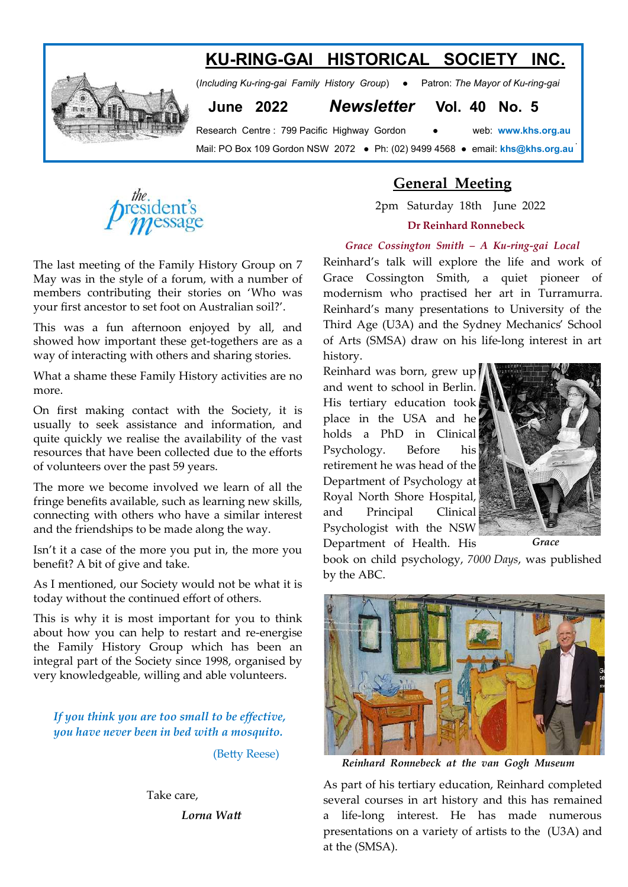# **KU-RING-GAI HISTORICAL SOCIETY INC.**



(*Including Ku-ring-gai Family History Group*) ● Patron: *The Mayor of Ku-ring-gai* 

 **June 2022** *Newsletter* **Vol. 40 No. 5**

Research Centre : 799 Pacific Highway Gordon ● web: **www.khs.org.au**  Mail: PO Box 109 Gordon NSW 2072 ● Ph: (02) 9499 4568 ● email: **khs@khs.org.au** 



The last meeting of the Family History Group on 7 May was in the style of a forum, with a number of members contributing their stories on 'Who was your first ancestor to set foot on Australian soil?'.

This was a fun afternoon enjoyed by all, and showed how important these get-togethers are as a way of interacting with others and sharing stories.

What a shame these Family History activities are no more.

On first making contact with the Society, it is usually to seek assistance and information, and quite quickly we realise the availability of the vast resources that have been collected due to the efforts of volunteers over the past 59 years.

The more we become involved we learn of all the fringe benefits available, such as learning new skills, connecting with others who have a similar interest and the friendships to be made along the way.

Isn't it a case of the more you put in, the more you benefit? A bit of give and take.

As I mentioned, our Society would not be what it is today without the continued effort of others.

This is why it is most important for you to think about how you can help to restart and re-energise the Family History Group which has been an integral part of the Society since 1998, organised by very knowledgeable, willing and able volunteers.

*If you think you are too small to be effective, you have never been in bed with a mosquito.* 

(Betty Reese)

Take care,

 *Lorna Watt* 

## **General Meeting**

 2pm Saturday 18th June 2022 **Dr Reinhard Ronnebeck**

#### *Grace Cossington Smith – A Ku-ring-gai Local*

Reinhard's talk will explore the life and work of Grace Cossington Smith, a quiet pioneer of modernism who practised her art in Turramurra. Reinhard's many presentations to University of the Third Age (U3A) and the Sydney Mechanics' School of Arts (SMSA) draw on his life-long interest in art history.

Reinhard was born, grew up and went to school in Berlin. His tertiary education took place in the USA and he holds a PhD in Clinical Psychology. Before his retirement he was head of the Department of Psychology at Royal North Shore Hospital, and Principal Clinical Psychologist with the NSW Department of Health. His



book on child psychology, *7000 Days*, was published by the ABC.



 *Reinhard Ronnebeck at the van Gogh Museum*

As part of his tertiary education, Reinhard completed several courses in art history and this has remained a life-long interest. He has made numerous presentations on a variety of artists to the (U3A) and at the (SMSA).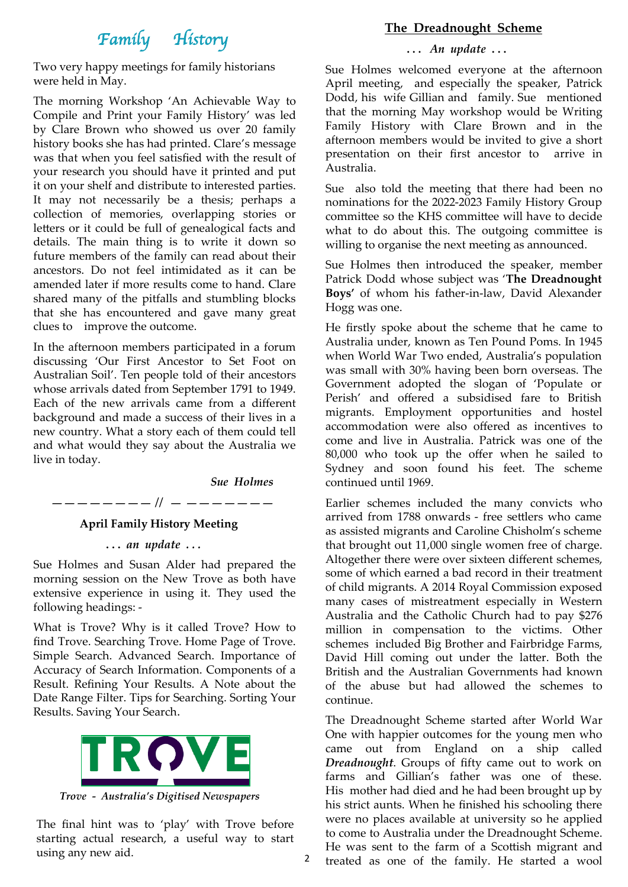# *Family History*

Two very happy meetings for family historians were held in May.

The morning Workshop 'An Achievable Way to Compile and Print your Family History' was led by Clare Brown who showed us over 20 family history books she has had printed. Clare's message was that when you feel satisfied with the result of your research you should have it printed and put it on your shelf and distribute to interested parties. It may not necessarily be a thesis; perhaps a collection of memories, overlapping stories or letters or it could be full of genealogical facts and details. The main thing is to write it down so future members of the family can read about their ancestors. Do not feel intimidated as it can be amended later if more results come to hand. Clare shared many of the pitfalls and stumbling blocks that she has encountered and gave many great clues to improve the outcome.

In the afternoon members participated in a forum discussing 'Our First Ancestor to Set Foot on Australian Soil'. Ten people told of their ancestors whose arrivals dated from September 1791 to 1949. Each of the new arrivals came from a different background and made a success of their lives in a new country. What a story each of them could tell and what would they say about the Australia we live in today.

*Sue Holmes*

2

 *———————— // — ———————*

#### **April Family History Meeting**

 **. . .** *an update . . .* 

Sue Holmes and Susan Alder had prepared the morning session on the New Trove as both have extensive experience in using it. They used the following headings: -

What is Trove? Why is it called Trove? How to find Trove. Searching Trove. Home Page of Trove. Simple Search. Advanced Search. Importance of Accuracy of Search Information. Components of a Result. Refining Your Results. A Note about the Date Range Filter. Tips for Searching. Sorting Your Results. Saving Your Search.



 *Trove - Australia's Digitised Newspapers*

The final hint was to 'play' with Trove before starting actual research, a useful way to start using any new aid.

#### **The Dreadnought Scheme**

#### **. . .** *An update* **. . .**

Sue Holmes welcomed everyone at the afternoon April meeting, and especially the speaker, Patrick Dodd, his wife Gillian and family. Sue mentioned that the morning May workshop would be Writing Family History with Clare Brown and in the afternoon members would be invited to give a short presentation on their first ancestor to arrive in Australia.

Sue also told the meeting that there had been no nominations for the 2022-2023 Family History Group committee so the KHS committee will have to decide what to do about this. The outgoing committee is willing to organise the next meeting as announced.

Sue Holmes then introduced the speaker, member Patrick Dodd whose subject was '**The Dreadnought Boys'** of whom his father-in-law, David Alexander Hogg was one.

He firstly spoke about the scheme that he came to Australia under, known as Ten Pound Poms. In 1945 when World War Two ended, Australia's population was small with 30% having been born overseas. The Government adopted the slogan of 'Populate or Perish' and offered a subsidised fare to British migrants. Employment opportunities and hostel accommodation were also offered as incentives to come and live in Australia. Patrick was one of the 80,000 who took up the offer when he sailed to Sydney and soon found his feet. The scheme continued until 1969.

Earlier schemes included the many convicts who arrived from 1788 onwards - free settlers who came as assisted migrants and Caroline Chisholm's scheme that brought out 11,000 single women free of charge. Altogether there were over sixteen different schemes, some of which earned a bad record in their treatment of child migrants. A 2014 Royal Commission exposed many cases of mistreatment especially in Western Australia and the Catholic Church had to pay \$276 million in compensation to the victims. Other schemes included Big Brother and Fairbridge Farms, David Hill coming out under the latter. Both the British and the Australian Governments had known of the abuse but had allowed the schemes to continue.

The Dreadnought Scheme started after World War One with happier outcomes for the young men who came out from England on a ship called *Dreadnought*. Groups of fifty came out to work on farms and Gillian's father was one of these. His mother had died and he had been brought up by his strict aunts. When he finished his schooling there were no places available at university so he applied to come to Australia under the Dreadnought Scheme. He was sent to the farm of a Scottish migrant and treated as one of the family. He started a wool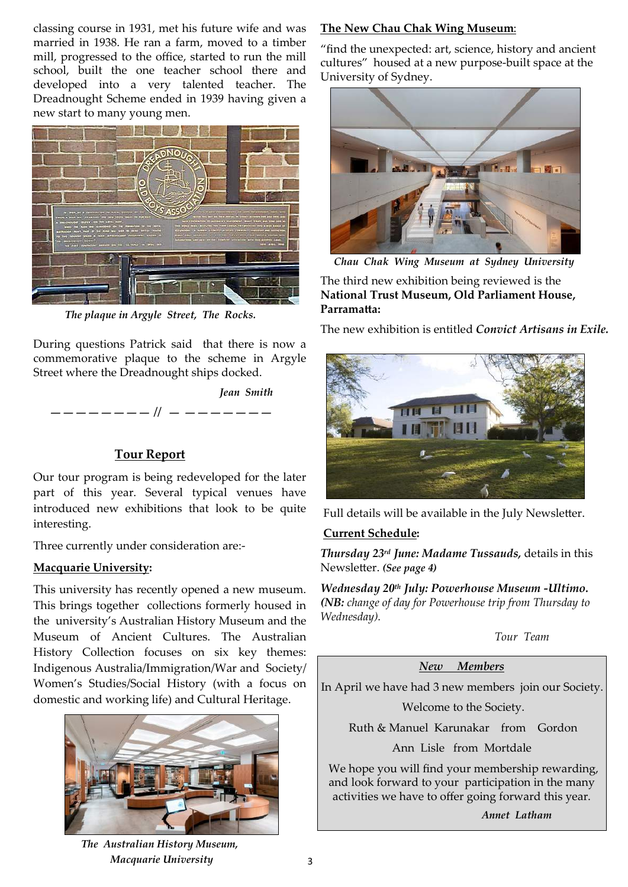classing course in 1931, met his future wife and was married in 1938. He ran a farm, moved to a timber mill, progressed to the office, started to run the mill school, built the one teacher school there and developed into a very talented teacher. The Dreadnought Scheme ended in 1939 having given a new start to many young men.



 *The plaque in Argyle Street, The Rocks.* 

During questions Patrick said that there is now a commemorative plaque to the scheme in Argyle Street where the Dreadnought ships docked.



### **Tour Report**

Our tour program is being redeveloped for the later part of this year. Several typical venues have introduced new exhibitions that look to be quite interesting.

Three currently under consideration are:-

### **Macquarie University:**

This university has recently opened a new museum. This brings together collections formerly housed in the university's Australian History Museum and the Museum of Ancient Cultures. The Australian History Collection focuses on six key themes: Indigenous Australia/Immigration/War and Society/ Women's Studies/Social History (with a focus on domestic and working life) and Cultural Heritage.



### **The New Chau Chak Wing Museum**:

"find the unexpected: art, science, history and ancient cultures" housed at a new purpose-built space at the University of Sydney.



*Chau Chak Wing Museum at Sydney University*

The third new exhibition being reviewed is the **National Trust Museum, Old Parliament House, Parramatta:**

The new exhibition is entitled *Convict Artisans in Exile.*



Full details will be available in the July Newsletter.

### **Current Schedule:**

*Thursday 23rd June: Madame Tussauds,* details in this Newsletter. *(See page 4)*

*Wednesday 20th July: Powerhouse Museum -Ultimo. (NB: change of day for Powerhouse trip from Thursday to Wednesday).* 

 *Tour Team*

*New Members*

In April we have had 3 new members join our Society.

Welcome to the Society.

Ruth & Manuel Karunakar from Gordon

Ann Lisle from Mortdale

We hope you will find your membership rewarding, and look forward to your participation in the many activities we have to offer going forward this year.

*Annet Latham*

 *The Australian History Museum, Macquarie University*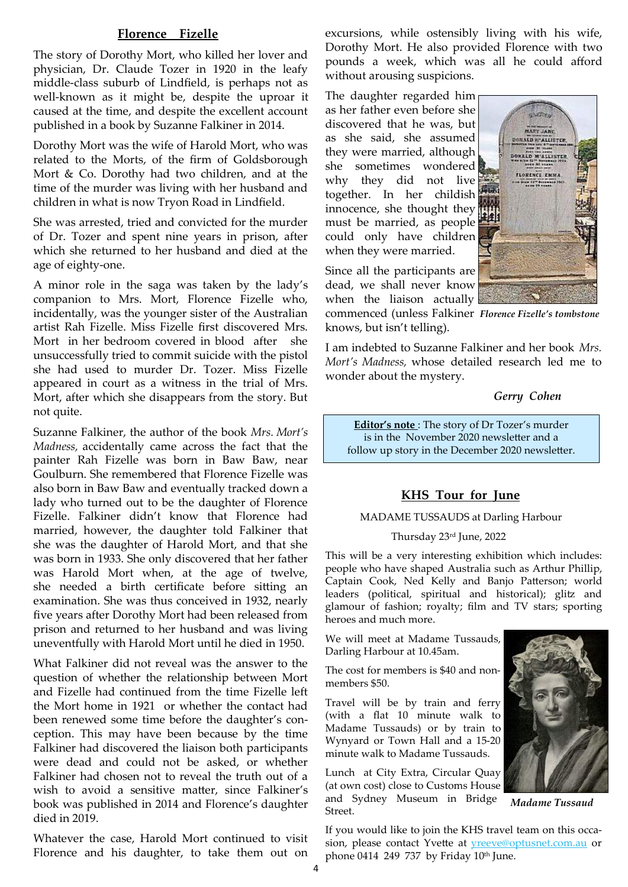### **Florence Fizelle**

 The story of Dorothy Mort, who killed her lover and physician, Dr. Claude Tozer in 1920 in the leafy middle-class suburb of Lindfield, is perhaps not as well-known as it might be, despite the uproar it caused at the time, and despite the excellent account published in a book by Suzanne Falkiner in 2014.

Dorothy Mort was the wife of Harold Mort, who was related to the Morts, of the firm of Goldsborough Mort & Co. Dorothy had two children, and at the time of the murder was living with her husband and children in what is now Tryon Road in Lindfield.

She was arrested, tried and convicted for the murder of Dr. Tozer and spent nine years in prison, after which she returned to her husband and died at the age of eighty-one.

A minor role in the saga was taken by the lady's companion to Mrs. Mort, Florence Fizelle who, incidentally, was the younger sister of the Australian artist Rah Fizelle. Miss Fizelle first discovered Mrs. Mort in her bedroom covered in blood after she unsuccessfully tried to commit suicide with the pistol she had used to murder Dr. Tozer. Miss Fizelle appeared in court as a witness in the trial of Mrs. Mort, after which she disappears from the story. But not quite.

Suzanne Falkiner, the author of the book *Mrs. Mort's Madness,* accidentally came across the fact that the painter Rah Fizelle was born in Baw Baw, near Goulburn. She remembered that Florence Fizelle was also born in Baw Baw and eventually tracked down a lady who turned out to be the daughter of Florence Fizelle. Falkiner didn't know that Florence had married, however, the daughter told Falkiner that she was the daughter of Harold Mort, and that she was born in 1933. She only discovered that her father was Harold Mort when, at the age of twelve, she needed a birth certificate before sitting an examination. She was thus conceived in 1932, nearly five years after Dorothy Mort had been released from prison and returned to her husband and was living uneventfully with Harold Mort until he died in 1950.

What Falkiner did not reveal was the answer to the question of whether the relationship between Mort and Fizelle had continued from the time Fizelle left the Mort home in 1921 or whether the contact had been renewed some time before the daughter's conception. This may have been because by the time Falkiner had discovered the liaison both participants were dead and could not be asked, or whether Falkiner had chosen not to reveal the truth out of a wish to avoid a sensitive matter, since Falkiner's book was published in 2014 and Florence's daughter died in 2019.

Whatever the case, Harold Mort continued to visit Florence and his daughter, to take them out on excursions, while ostensibly living with his wife, Dorothy Mort. He also provided Florence with two pounds a week, which was all he could afford without arousing suspicions.

The daughter regarded him as her father even before she discovered that he was, but as she said, she assumed they were married, although she sometimes wondered why they did not live together. In her childish innocence, she thought they must be married, as people could only have children when they were married.



Since all the participants are dead, we shall never know when the liaison actually

knows, but isn't telling). commenced (unless Falkiner *Florence Fizelle's tombstone*

I am indebted to Suzanne Falkiner and her book *Mrs. Mort's Madness,* whose detailed research led me to wonder about the mystery.

#### *Gerry Cohen*

**Editor's note** : The story of Dr Tozer's murder is in the November 2020 newsletter and a follow up story in the December 2020 newsletter.

#### **KHS Tour for June**

#### MADAME TUSSAUDS at Darling Harbour

#### Thursday 23rd June, 2022

This will be a very interesting exhibition which includes: people who have shaped Australia such as Arthur Phillip, Captain Cook, Ned Kelly and Banjo Patterson; world leaders (political, spiritual and historical); glitz and glamour of fashion; royalty; film and TV stars; sporting heroes and much more.

We will meet at Madame Tussauds, Darling Harbour at 10.45am.

The cost for members is \$40 and nonmembers \$50.

Travel will be by train and ferry (with a flat 10 minute walk to Madame Tussauds) or by train to Wynyard or Town Hall and a 15-20 minute walk to Madame Tussauds.

Lunch at City Extra, Circular Quay (at own cost) close to Customs House and Sydney Museum in Bridge Street.



 *Madame Tussaud*

If you would like to join the KHS travel team on this occasion, please contact Yvette at **[yreeve@optusnet.com.au](mailto:yreeve@optusnet.com.au)** or phone 0414 249 737 by Friday 10th June.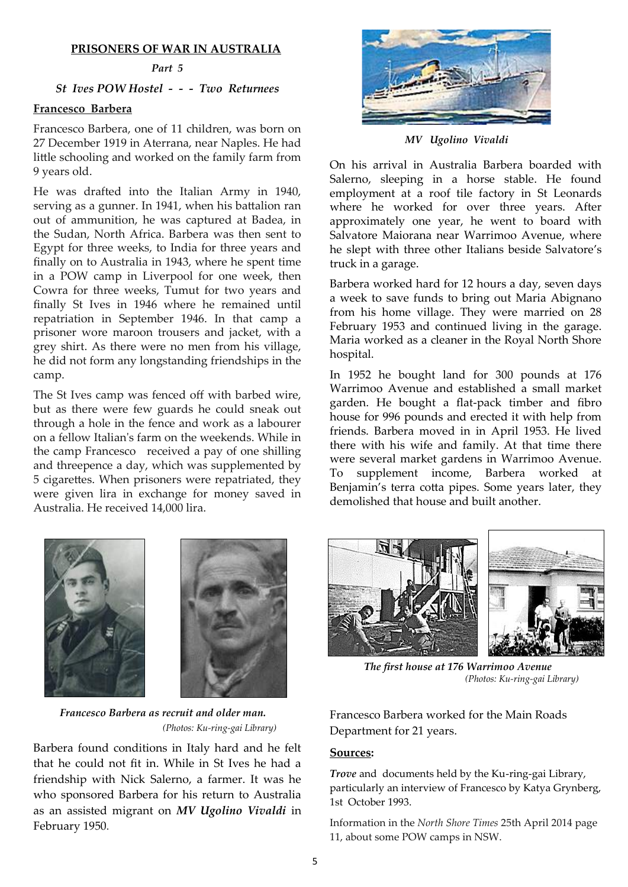#### **PRISONERS OF WAR IN AUSTRALIA**

#### *Part 5*

### *St Ives POW Hostel - - - Two Returnees*

#### **Francesco Barbera**

Francesco Barbera, one of 11 children, was born on 27 December 1919 in Aterrana, near Naples. He had little schooling and worked on the family farm from 9 years old.

He was drafted into the Italian Army in 1940, serving as a gunner. In 1941, when his battalion ran out of ammunition, he was captured at Badea, in the Sudan, North Africa. Barbera was then sent to Egypt for three weeks, to India for three years and finally on to Australia in 1943, where he spent time in a POW camp in Liverpool for one week, then Cowra for three weeks, Tumut for two years and finally St Ives in 1946 where he remained until repatriation in September 1946. In that camp a prisoner wore maroon trousers and jacket, with a grey shirt. As there were no men from his village, he did not form any longstanding friendships in the camp.

The St Ives camp was fenced off with barbed wire, but as there were few guards he could sneak out through a hole in the fence and work as a labourer on a fellow Italian's farm on the weekends. While in the camp Francesco received a pay of one shilling and threepence a day, which was supplemented by 5 cigarettes. When prisoners were repatriated, they were given lira in exchange for money saved in Australia. He received 14,000 lira.



 *MV Ugolino Vivaldi*

On his arrival in Australia Barbera boarded with Salerno, sleeping in a horse stable. He found employment at a roof tile factory in St Leonards where he worked for over three years. After approximately one year, he went to board with Salvatore Maiorana near Warrimoo Avenue, where he slept with three other Italians beside Salvatore's truck in a garage.

Barbera worked hard for 12 hours a day, seven days a week to save funds to bring out Maria Abignano from his home village. They were married on 28 February 1953 and continued living in the garage. Maria worked as a cleaner in the Royal North Shore hospital.

In 1952 he bought land for 300 pounds at 176 Warrimoo Avenue and established a small market garden. He bought a flat-pack timber and fibro house for 996 pounds and erected it with help from friends. Barbera moved in in April 1953. He lived there with his wife and family. At that time there were several market gardens in Warrimoo Avenue. To supplement income, Barbera worked at Benjamin's terra cotta pipes. Some years later, they demolished that house and built another.





 *Francesco Barbera as recruit and older man. (Photos: Ku-ring-gai Library)*

Barbera found conditions in Italy hard and he felt that he could not fit in. While in St Ives he had a friendship with Nick Salerno, a farmer. It was he who sponsored Barbera for his return to Australia as an assisted migrant on *MV Ugolino Vivaldi* in February 1950.



 *The first house at 176 Warrimoo Avenue (Photos: Ku-ring-gai Library)*

Francesco Barbera worked for the Main Roads Department for 21 years.

#### **Sources:**

*Trove* and documents held by the Ku-ring-gai Library, particularly an interview of Francesco by Katya Grynberg, 1st October 1993.

Information in the *North Shore Times* 25th April 2014 page 11, about some POW camps in NSW.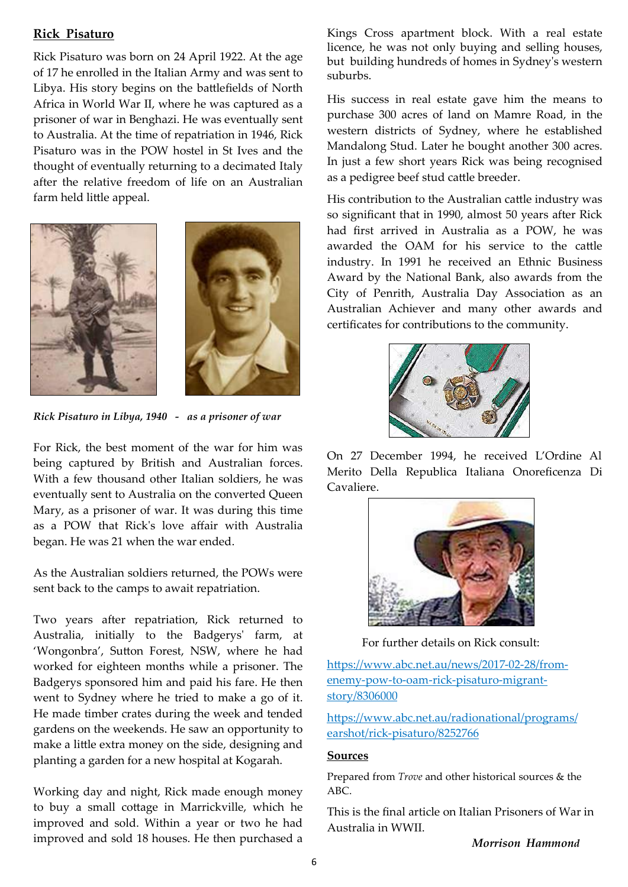### **Rick Pisaturo**

Rick Pisaturo was born on 24 April 1922. At the age of 17 he enrolled in the Italian Army and was sent to Libya. His story begins on the battlefields of North Africa in World War II, where he was captured as a prisoner of war in Benghazi. He was eventually sent to Australia. At the time of repatriation in 1946, Rick Pisaturo was in the POW hostel in St Ives and the thought of eventually returning to a decimated Italy after the relative freedom of life on an Australian farm held little appeal.



*Rick Pisaturo in Libya, 1940 - as a prisoner of war*

For Rick, the best moment of the war for him was being captured by British and Australian forces. With a few thousand other Italian soldiers, he was eventually sent to Australia on the converted Queen Mary, as a prisoner of war. It was during this time as a POW that Rick's love affair with Australia began. He was 21 when the war ended.

As the Australian soldiers returned, the POWs were sent back to the camps to await repatriation.

Two years after repatriation, Rick returned to Australia, initially to the Badgerys' farm, at 'Wongonbra', Sutton Forest, NSW, where he had worked for eighteen months while a prisoner. The Badgerys sponsored him and paid his fare. He then went to Sydney where he tried to make a go of it. He made timber crates during the week and tended gardens on the weekends. He saw an opportunity to make a little extra money on the side, designing and planting a garden for a new hospital at Kogarah.

Working day and night, Rick made enough money to buy a small cottage in Marrickville, which he improved and sold. Within a year or two he had improved and sold 18 houses. He then purchased a Kings Cross apartment block. With a real estate licence, he was not only buying and selling houses, but building hundreds of homes in Sydney's western suburbs.

His success in real estate gave him the means to purchase 300 acres of land on Mamre Road, in the western districts of Sydney, where he established Mandalong Stud. Later he bought another 300 acres. In just a few short years Rick was being recognised as a pedigree beef stud cattle breeder.

His contribution to the Australian cattle industry was so significant that in 1990, almost 50 years after Rick had first arrived in Australia as a POW, he was awarded the OAM for his service to the cattle industry. In 1991 he received an Ethnic Business Award by the National Bank, also awards from the City of Penrith, Australia Day Association as an Australian Achiever and many other awards and certificates for contributions to the community.



On 27 December 1994, he received L'Ordine Al Merito Della Republica Italiana Onoreficenza Di Cavaliere.



For further details on Rick consult:

[https://www.abc.net.au/news/2017](https://www.abc.net.au/news/2017-02-28/from-enemy-pow-to-oam-rick-pisaturo-migrant-story/8306000)-02-28/fromenemy-pow-to-oam-rick-[pisaturo](https://www.abc.net.au/news/2017-02-28/from-enemy-pow-to-oam-rick-pisaturo-migrant-story/8306000)-migrant[story/8306000](https://www.abc.net.au/news/2017-02-28/from-enemy-pow-to-oam-rick-pisaturo-migrant-story/8306000)

[https://www.abc.net.au/radionational/programs/](https://www.abc.net.au/radionational/programs/earshot/rick-pisaturo/8252766) earshot/rick-[pisaturo/8252766](https://www.abc.net.au/radionational/programs/earshot/rick-pisaturo/8252766)

#### **Sources**

Prepared from *Trove* and other historical sources & the ABC.

This is the final article on Italian Prisoners of War in Australia in WWII.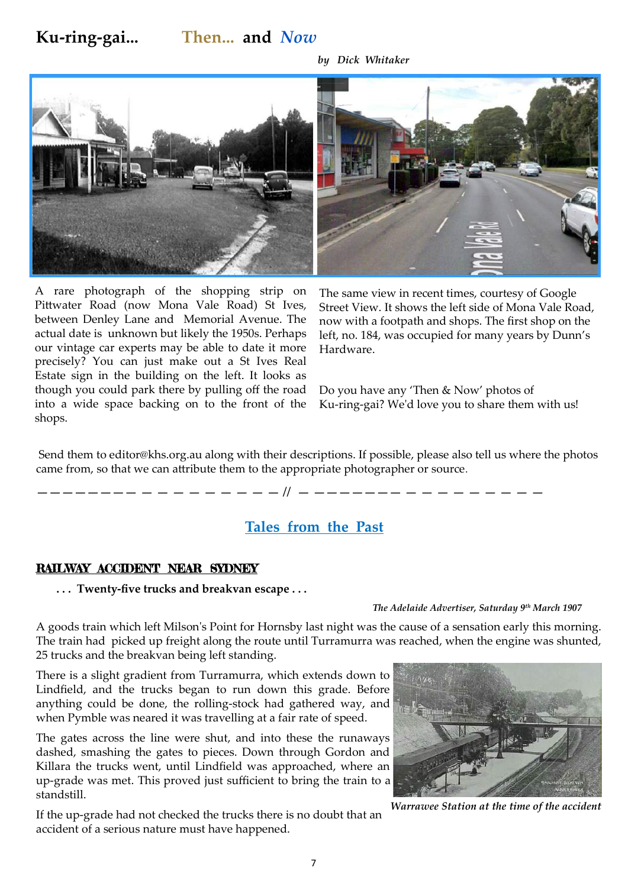# **Ku-ring-gai... Then... and** *Now*

*by Dick Whitaker* 



A rare photograph of the shopping strip on Pittwater Road (now Mona Vale Road) St Ives, between Denley Lane and Memorial Avenue. The actual date is unknown but likely the 1950s. Perhaps our vintage car experts may be able to date it more precisely? You can just make out a St Ives Real Estate sign in the building on the left. It looks as though you could park there by pulling off the road into a wide space backing on to the front of the shops.

The same view in recent times, courtesy of Google Street View. It shows the left side of Mona Vale Road, now with a footpath and shops. The first shop on the left, no. 184, was occupied for many years by Dunn's Hardware.

Do you have any 'Then & Now' photos of Ku-ring-gai? We'd love you to share them with us!

Send them to editor@khs.org.au along with their descriptions. If possible, please also tell us where the photos came from, so that we can attribute them to the appropriate photographer or source.

*———————— — — — — — — — — — // — ——————— — — — — — — — — —*

### **Tales from the Past**

#### RAILWAY ACCIDENT NEAR SYDNEY

 **. . . Twenty-five trucks and breakvan escape . . .** 

#### *The Adelaide Advertiser, Saturday 9th March 1907*

A goods train which left Milson's Point for Hornsby last night was the cause of a sensation early this morning. The train had picked up freight along the route until Turramurra was reached, when the engine was shunted, 25 trucks and the breakvan being left standing.

There is a slight gradient from Turramurra, which extends down to Lindfield, and the trucks began to run down this grade. Before anything could be done, the rolling-stock had gathered way, and when Pymble was neared it was travelling at a fair rate of speed.

The gates across the line were shut, and into these the runaways dashed, smashing the gates to pieces. Down through Gordon and Killara the trucks went, until Lindfield was approached, where an up-grade was met. This proved just sufficient to bring the train to a standstill.

If the up-grade had not checked the trucks there is no doubt that an accident of a serious nature must have happened.



*Warrawee Station at the time of the accident*